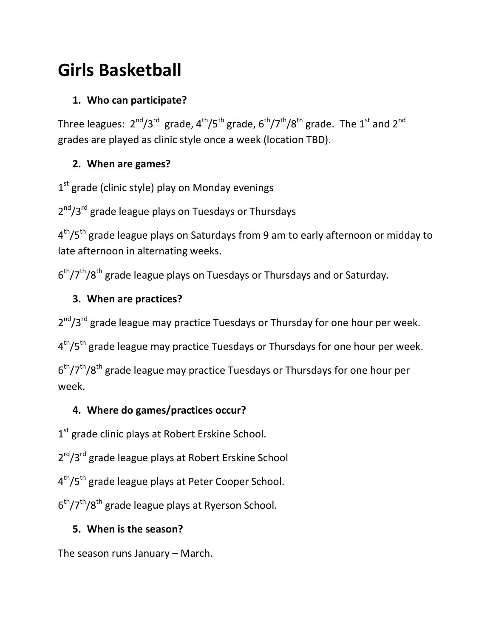# **Girls Basketball**

## **1. Who can participate?**

Three leagues:  $2^{nd}/3^{rd}$  grade,  $4^{th}/5^{th}$  grade,  $6^{th}/7^{th}/8^{th}$  grade. The  $1^{st}$  and  $2^{nd}$ grades are played as clinic style once a week (location TBD).

### **2. When are games?**

1<sup>st</sup> grade (clinic style) play on Monday evenings

2<sup>nd</sup>/3<sup>rd</sup> grade league plays on Tuesdays or Thursdays

4<sup>th</sup>/5<sup>th</sup> grade league plays on Saturdays from 9 am to early afternoon or midday to late afternoon in alternating weeks.

 $6<sup>th</sup>/7<sup>th</sup>/8<sup>th</sup>$  grade league plays on Tuesdays or Thursdays and or Saturday.

## **3. When are practices?**

2<sup>nd</sup>/3<sup>rd</sup> grade league may practice Tuesdays or Thursday for one hour per week.

4<sup>th</sup>/5<sup>th</sup> grade league may practice Tuesdays or Thursdays for one hour per week.

6<sup>th</sup>/7<sup>th</sup>/8<sup>th</sup> grade league may practice Tuesdays or Thursdays for one hour per week.

## **4. Where do games/practices occur?**

1<sup>st</sup> grade clinic plays at Robert Erskine School.

2<sup>rd</sup>/3<sup>rd</sup> grade league plays at Robert Erskine School

4<sup>th</sup>/5<sup>th</sup> grade league plays at Peter Cooper School.

6<sup>th</sup>/7<sup>th</sup>/8<sup>th</sup> grade league plays at Ryerson School.

#### **5. When is the season?**

The season runs January – March.